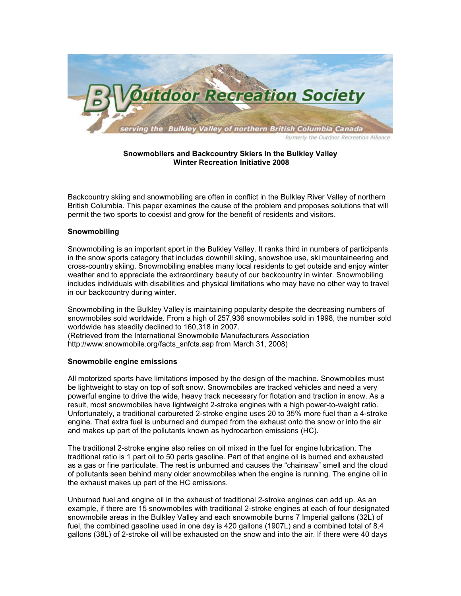

# Snowmobilers and Backcountry Skiers in the Bulkley Valley Winter Recreation Initiative 2008

Backcountry skiing and snowmobiling are often in conflict in the Bulkley River Valley of northern British Columbia. This paper examines the cause of the problem and proposes solutions that will permit the two sports to coexist and grow for the benefit of residents and visitors.

# Snowmobiling

Snowmobiling is an important sport in the Bulkley Valley. It ranks third in numbers of participants in the snow sports category that includes downhill skiing, snowshoe use, ski mountaineering and cross-country skiing. Snowmobiling enables many local residents to get outside and enjoy winter weather and to appreciate the extraordinary beauty of our backcountry in winter. Snowmobiling includes individuals with disabilities and physical limitations who may have no other way to travel in our backcountry during winter.

Snowmobiling in the Bulkley Valley is maintaining popularity despite the decreasing numbers of snowmobiles sold worldwide. From a high of 257,936 snowmobiles sold in 1998, the number sold worldwide has steadily declined to 160,318 in 2007. (Retrieved from the International Snowmobile Manufacturers Association

http://www.snowmobile.org/facts\_snfcts.asp from March 31, 2008)

# Snowmobile engine emissions

All motorized sports have limitations imposed by the design of the machine. Snowmobiles must be lightweight to stay on top of soft snow. Snowmobiles are tracked vehicles and need a very powerful engine to drive the wide, heavy track necessary for flotation and traction in snow. As a result, most snowmobiles have lightweight 2-stroke engines with a high power-to-weight ratio. Unfortunately, a traditional carbureted 2-stroke engine uses 20 to 35% more fuel than a 4-stroke engine. That extra fuel is unburned and dumped from the exhaust onto the snow or into the air and makes up part of the pollutants known as hydrocarbon emissions (HC).

The traditional 2-stroke engine also relies on oil mixed in the fuel for engine lubrication. The traditional ratio is 1 part oil to 50 parts gasoline. Part of that engine oil is burned and exhausted as a gas or fine particulate. The rest is unburned and causes the "chainsaw" smell and the cloud of pollutants seen behind many older snowmobiles when the engine is running. The engine oil in the exhaust makes up part of the HC emissions.

Unburned fuel and engine oil in the exhaust of traditional 2-stroke engines can add up. As an example, if there are 15 snowmobiles with traditional 2-stroke engines at each of four designated snowmobile areas in the Bulkley Valley and each snowmobile burns 7 Imperial gallons (32L) of fuel, the combined gasoline used in one day is 420 gallons (1907L) and a combined total of 8.4 gallons (38L) of 2-stroke oil will be exhausted on the snow and into the air. If there were 40 days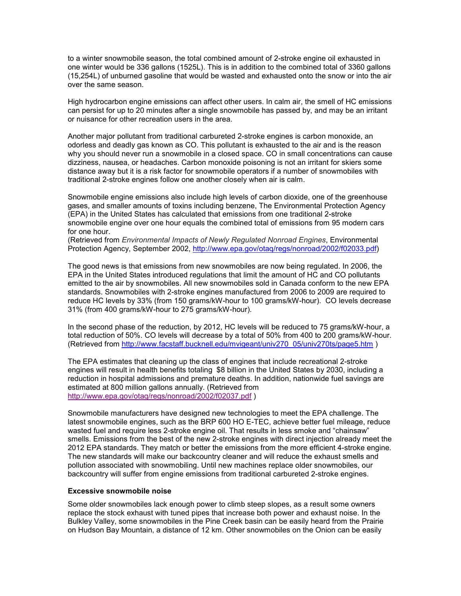to a winter snowmobile season, the total combined amount of 2-stroke engine oil exhausted in one winter would be 336 gallons (1525L). This is in addition to the combined total of 3360 gallons (15,254L) of unburned gasoline that would be wasted and exhausted onto the snow or into the air over the same season.

High hydrocarbon engine emissions can affect other users. In calm air, the smell of HC emissions can persist for up to 20 minutes after a single snowmobile has passed by, and may be an irritant or nuisance for other recreation users in the area.

Another major pollutant from traditional carbureted 2-stroke engines is carbon monoxide, an odorless and deadly gas known as CO. This pollutant is exhausted to the air and is the reason why you should never run a snowmobile in a closed space. CO in small concentrations can cause dizziness, nausea, or headaches. Carbon monoxide poisoning is not an irritant for skiers some distance away but it is a risk factor for snowmobile operators if a number of snowmobiles with traditional 2-stroke engines follow one another closely when air is calm.

Snowmobile engine emissions also include high levels of carbon dioxide, one of the greenhouse gases, and smaller amounts of toxins including benzene, The Environmental Protection Agency (EPA) in the United States has calculated that emissions from one traditional 2-stroke snowmobile engine over one hour equals the combined total of emissions from 95 modern cars for one hour.

(Retrieved from Environmental Impacts of Newly Regulated Nonroad Engines, Environmental Protection Agency, September 2002, http://www.epa.gov/otaq/regs/nonroad/2002/f02033.pdf)

The good news is that emissions from new snowmobiles are now being regulated. In 2006, the EPA in the United States introduced regulations that limit the amount of HC and CO pollutants emitted to the air by snowmobiles. All new snowmobiles sold in Canada conform to the new EPA standards. Snowmobiles with 2-stroke engines manufactured from 2006 to 2009 are required to reduce HC levels by 33% (from 150 grams/kW-hour to 100 grams/kW-hour). CO levels decrease 31% (from 400 grams/kW-hour to 275 grams/kW-hour).

In the second phase of the reduction, by 2012, HC levels will be reduced to 75 grams/kW-hour, a total reduction of 50%. CO levels will decrease by a total of 50% from 400 to 200 grams/kW-hour. (Retrieved from http://www.facstaff.bucknell.edu/mvigeant/univ270\_05/univ270ts/page5.htm )

The EPA estimates that cleaning up the class of engines that include recreational 2-stroke engines will result in health benefits totaling \$8 billion in the United States by 2030, including a reduction in hospital admissions and premature deaths. In addition, nationwide fuel savings are estimated at 800 million gallons annually. (Retrieved from http://www.epa.gov/otaq/regs/nonroad/2002/f02037.pdf )

Snowmobile manufacturers have designed new technologies to meet the EPA challenge. The latest snowmobile engines, such as the BRP 600 HO E-TEC, achieve better fuel mileage, reduce wasted fuel and require less 2-stroke engine oil. That results in less smoke and "chainsaw" smells. Emissions from the best of the new 2-stroke engines with direct injection already meet the 2012 EPA standards. They match or better the emissions from the more efficient 4-stroke engine. The new standards will make our backcountry cleaner and will reduce the exhaust smells and pollution associated with snowmobiling. Until new machines replace older snowmobiles, our backcountry will suffer from engine emissions from traditional carbureted 2-stroke engines.

#### Excessive snowmobile noise

Some older snowmobiles lack enough power to climb steep slopes, as a result some owners replace the stock exhaust with tuned pipes that increase both power and exhaust noise. In the Bulkley Valley, some snowmobiles in the Pine Creek basin can be easily heard from the Prairie on Hudson Bay Mountain, a distance of 12 km. Other snowmobiles on the Onion can be easily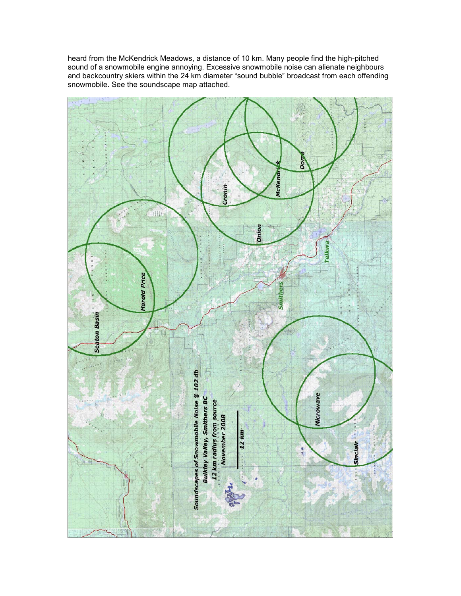heard from the McKendrick Meadows, a distance of 10 km. Many people find the high-pitched sound of a snowmobile engine annoying. Excessive snowmobile noise can alienate neighbours and backcountry skiers within the 24 km diameter "sound bubble" broadcast from each offending snowmobile. See the soundscape map attached.

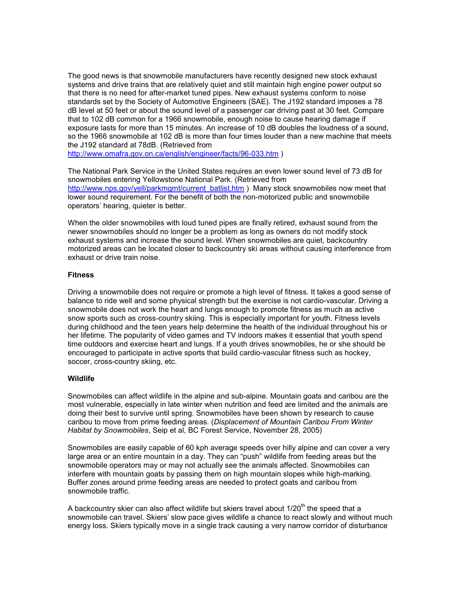The good news is that snowmobile manufacturers have recently designed new stock exhaust systems and drive trains that are relatively quiet and still maintain high engine power output so that there is no need for after-market tuned pipes. New exhaust systems conform to noise standards set by the Society of Automotive Engineers (SAE). The J192 standard imposes a 78 dB level at 50 feet or about the sound level of a passenger car driving past at 30 feet. Compare that to 102 dB common for a 1966 snowmobile, enough noise to cause hearing damage if exposure lasts for more than 15 minutes. An increase of 10 dB doubles the loudness of a sound, so the 1966 snowmobile at 102 dB is more than four times louder than a new machine that meets the J192 standard at 78dB. (Retrieved from

http://www.omafra.gov.on.ca/english/engineer/facts/96-033.htm )

The National Park Service in the United States requires an even lower sound level of 73 dB for snowmobiles entering Yellowstone National Park. (Retrieved from http://www.nps.gov/yell/parkmgmt/current\_batlist.htm ) Many stock snowmobiles now meet that lower sound requirement. For the benefit of both the non-motorized public and snowmobile operators' hearing, quieter is better.

When the older snowmobiles with loud tuned pipes are finally retired, exhaust sound from the newer snowmobiles should no longer be a problem as long as owners do not modify stock exhaust systems and increase the sound level. When snowmobiles are quiet, backcountry motorized areas can be located closer to backcountry ski areas without causing interference from exhaust or drive train noise.

# **Fitness**

Driving a snowmobile does not require or promote a high level of fitness. It takes a good sense of balance to ride well and some physical strength but the exercise is not cardio-vascular. Driving a snowmobile does not work the heart and lungs enough to promote fitness as much as active snow sports such as cross-country skiing. This is especially important for youth. Fitness levels during childhood and the teen years help determine the health of the individual throughout his or her lifetime. The popularity of video games and TV indoors makes it essential that youth spend time outdoors and exercise heart and lungs. If a youth drives snowmobiles, he or she should be encouraged to participate in active sports that build cardio-vascular fitness such as hockey, soccer, cross-country skiing, etc.

# Wildlife

Snowmobiles can affect wildlife in the alpine and sub-alpine. Mountain goats and caribou are the most vulnerable, especially in late winter when nutrition and feed are limited and the animals are doing their best to survive until spring. Snowmobiles have been shown by research to cause caribou to move from prime feeding areas. (Displacement of Mountain Caribou From Winter Habitat by Snowmobiles, Seip et al, BC Forest Service, November 28, 2005)

Snowmobiles are easily capable of 60 kph average speeds over hilly alpine and can cover a very large area or an entire mountain in a day. They can "push" wildlife from feeding areas but the snowmobile operators may or may not actually see the animals affected. Snowmobiles can interfere with mountain goats by passing them on high mountain slopes while high-marking. Buffer zones around prime feeding areas are needed to protect goats and caribou from snowmobile traffic.

A backcountry skier can also affect wildlife but skiers travel about  $1/20<sup>th</sup>$  the speed that a snowmobile can travel. Skiers' slow pace gives wildlife a chance to react slowly and without much energy loss. Skiers typically move in a single track causing a very narrow corridor of disturbance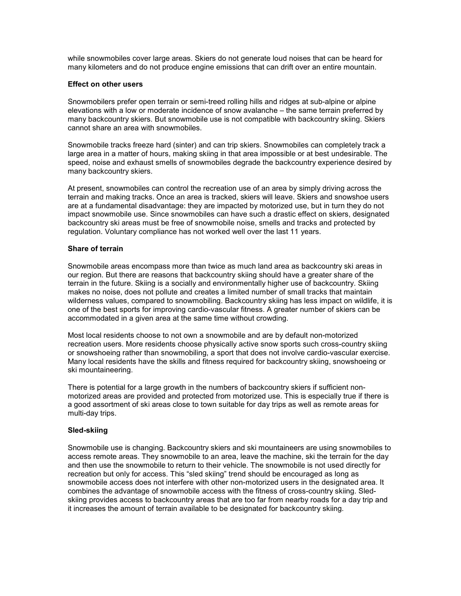while snowmobiles cover large areas. Skiers do not generate loud noises that can be heard for many kilometers and do not produce engine emissions that can drift over an entire mountain.

### Effect on other users

Snowmobilers prefer open terrain or semi-treed rolling hills and ridges at sub-alpine or alpine elevations with a low or moderate incidence of snow avalanche – the same terrain preferred by many backcountry skiers. But snowmobile use is not compatible with backcountry skiing. Skiers cannot share an area with snowmobiles.

Snowmobile tracks freeze hard (sinter) and can trip skiers. Snowmobiles can completely track a large area in a matter of hours, making skiing in that area impossible or at best undesirable. The speed, noise and exhaust smells of snowmobiles degrade the backcountry experience desired by many backcountry skiers.

At present, snowmobiles can control the recreation use of an area by simply driving across the terrain and making tracks. Once an area is tracked, skiers will leave. Skiers and snowshoe users are at a fundamental disadvantage: they are impacted by motorized use, but in turn they do not impact snowmobile use. Since snowmobiles can have such a drastic effect on skiers, designated backcountry ski areas must be free of snowmobile noise, smells and tracks and protected by regulation. Voluntary compliance has not worked well over the last 11 years.

### Share of terrain

Snowmobile areas encompass more than twice as much land area as backcountry ski areas in our region. But there are reasons that backcountry skiing should have a greater share of the terrain in the future. Skiing is a socially and environmentally higher use of backcountry. Skiing makes no noise, does not pollute and creates a limited number of small tracks that maintain wilderness values, compared to snowmobiling. Backcountry skiing has less impact on wildlife, it is one of the best sports for improving cardio-vascular fitness. A greater number of skiers can be accommodated in a given area at the same time without crowding.

Most local residents choose to not own a snowmobile and are by default non-motorized recreation users. More residents choose physically active snow sports such cross-country skiing or snowshoeing rather than snowmobiling, a sport that does not involve cardio-vascular exercise. Many local residents have the skills and fitness required for backcountry skiing, snowshoeing or ski mountaineering.

There is potential for a large growth in the numbers of backcountry skiers if sufficient nonmotorized areas are provided and protected from motorized use. This is especially true if there is a good assortment of ski areas close to town suitable for day trips as well as remote areas for multi-day trips.

### Sled-skiing

Snowmobile use is changing. Backcountry skiers and ski mountaineers are using snowmobiles to access remote areas. They snowmobile to an area, leave the machine, ski the terrain for the day and then use the snowmobile to return to their vehicle. The snowmobile is not used directly for recreation but only for access. This "sled skiing" trend should be encouraged as long as snowmobile access does not interfere with other non-motorized users in the designated area. It combines the advantage of snowmobile access with the fitness of cross-country skiing. Sledskiing provides access to backcountry areas that are too far from nearby roads for a day trip and it increases the amount of terrain available to be designated for backcountry skiing.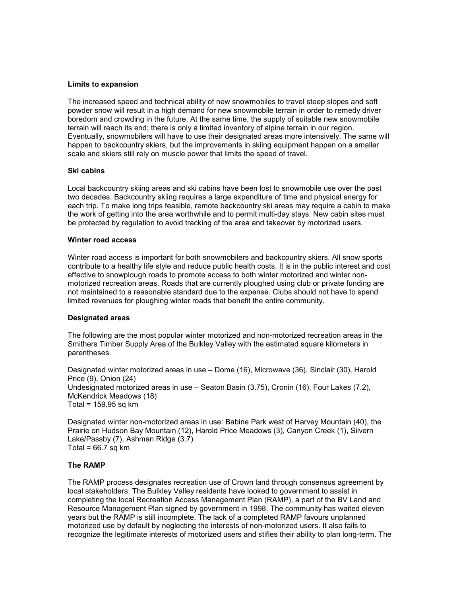### Limits to expansion

The increased speed and technical ability of new snowmobiles to travel steep slopes and soft powder snow will result in a high demand for new snowmobile terrain in order to remedy driver boredom and crowding in the future. At the same time, the supply of suitable new snowmobile terrain will reach its end; there is only a limited inventory of alpine terrain in our region. Eventually, snowmobilers will have to use their designated areas more intensively. The same will happen to backcountry skiers, but the improvements in skiing equipment happen on a smaller scale and skiers still rely on muscle power that limits the speed of travel.

### Ski cabins

Local backcountry skiing areas and ski cabins have been lost to snowmobile use over the past two decades. Backcountry skiing requires a large expenditure of time and physical energy for each trip. To make long trips feasible, remote backcountry ski areas may require a cabin to make the work of getting into the area worthwhile and to permit multi-day stays. New cabin sites must be protected by regulation to avoid tracking of the area and takeover by motorized users.

### Winter road access

Winter road access is important for both snowmobilers and backcountry skiers. All snow sports contribute to a healthy life style and reduce public health costs. It is in the public interest and cost effective to snowplough roads to promote access to both winter motorized and winter nonmotorized recreation areas. Roads that are currently ploughed using club or private funding are not maintained to a reasonable standard due to the expense. Clubs should not have to spend limited revenues for ploughing winter roads that benefit the entire community.

# Designated areas

The following are the most popular winter motorized and non-motorized recreation areas in the Smithers Timber Supply Area of the Bulkley Valley with the estimated square kilometers in parentheses.

Designated winter motorized areas in use – Dome (16), Microwave (36), Sinclair (30), Harold Price (9), Onion (24) Undesignated motorized areas in use – Seaton Basin (3.75), Cronin (16), Four Lakes (7.2), McKendrick Meadows (18) Total =  $159.95$  sq km

Designated winter non-motorized areas in use: Babine Park west of Harvey Mountain (40), the Prairie on Hudson Bay Mountain (12), Harold Price Meadows (3), Canyon Creek (1), Silvern Lake/Passby (7), Ashman Ridge (3.7) Total =  $66.7$  sq km

# The RAMP

The RAMP process designates recreation use of Crown land through consensus agreement by local stakeholders. The Bulkley Valley residents have looked to government to assist in completing the local Recreation Access Management Plan (RAMP), a part of the BV Land and Resource Management Plan signed by government in 1998. The community has waited eleven years but the RAMP is still incomplete. The lack of a completed RAMP favours unplanned motorized use by default by neglecting the interests of non-motorized users. It also fails to recognize the legitimate interests of motorized users and stifles their ability to plan long-term. The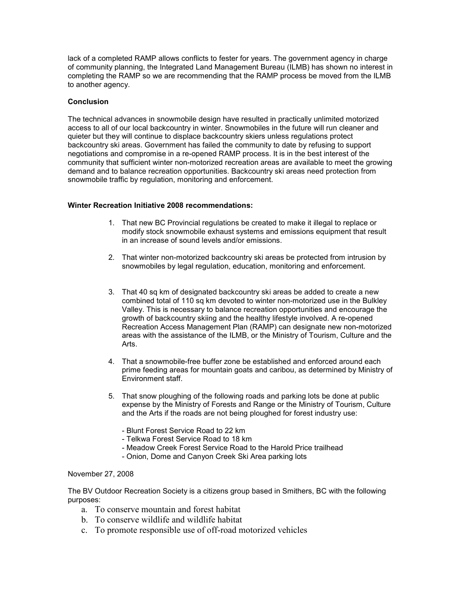lack of a completed RAMP allows conflicts to fester for years. The government agency in charge of community planning, the Integrated Land Management Bureau (ILMB) has shown no interest in completing the RAMP so we are recommending that the RAMP process be moved from the ILMB to another agency.

# **Conclusion**

The technical advances in snowmobile design have resulted in practically unlimited motorized access to all of our local backcountry in winter. Snowmobiles in the future will run cleaner and quieter but they will continue to displace backcountry skiers unless regulations protect backcountry ski areas. Government has failed the community to date by refusing to support negotiations and compromise in a re-opened RAMP process. It is in the best interest of the community that sufficient winter non-motorized recreation areas are available to meet the growing demand and to balance recreation opportunities. Backcountry ski areas need protection from snowmobile traffic by regulation, monitoring and enforcement.

# Winter Recreation Initiative 2008 recommendations:

- 1. That new BC Provincial regulations be created to make it illegal to replace or modify stock snowmobile exhaust systems and emissions equipment that result in an increase of sound levels and/or emissions.
- 2. That winter non-motorized backcountry ski areas be protected from intrusion by snowmobiles by legal regulation, education, monitoring and enforcement.
- 3. That 40 sq km of designated backcountry ski areas be added to create a new combined total of 110 sq km devoted to winter non-motorized use in the Bulkley Valley. This is necessary to balance recreation opportunities and encourage the growth of backcountry skiing and the healthy lifestyle involved. A re-opened Recreation Access Management Plan (RAMP) can designate new non-motorized areas with the assistance of the ILMB, or the Ministry of Tourism, Culture and the Arts.
- 4. That a snowmobile-free buffer zone be established and enforced around each prime feeding areas for mountain goats and caribou, as determined by Ministry of Environment staff.
- 5. That snow ploughing of the following roads and parking lots be done at public expense by the Ministry of Forests and Range or the Ministry of Tourism, Culture and the Arts if the roads are not being ploughed for forest industry use:
	- Blunt Forest Service Road to 22 km
	- Telkwa Forest Service Road to 18 km
	- Meadow Creek Forest Service Road to the Harold Price trailhead
	- Onion, Dome and Canyon Creek Ski Area parking lots

# November 27, 2008

The BV Outdoor Recreation Society is a citizens group based in Smithers, BC with the following purposes:

- a. To conserve mountain and forest habitat
- b. To conserve wildlife and wildlife habitat
- c. To promote responsible use of off-road motorized vehicles